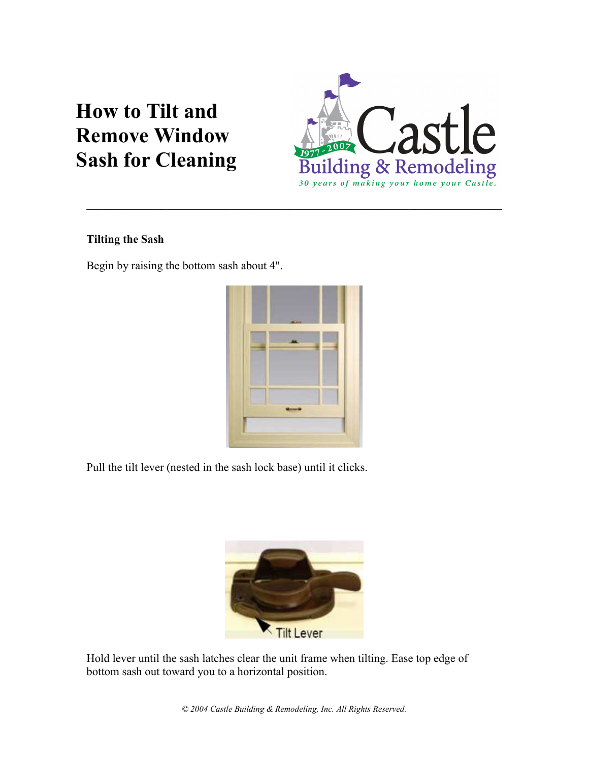# **How to Tilt and Remove Window Sash for Cleaning**



## **Tilting the Sash**

Begin by raising the bottom sash about 4".



Pull the tilt lever (nested in the sash lock base) until it clicks.



Hold lever until the sash latches clear the unit frame when tilting. Ease top edge of bottom sash out toward you to a horizontal position.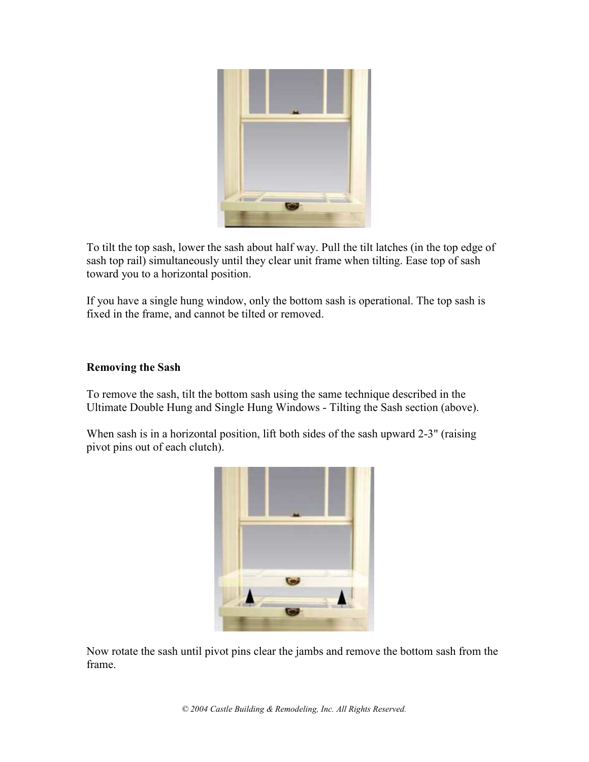

To tilt the top sash, lower the sash about half way. Pull the tilt latches (in the top edge of sash top rail) simultaneously until they clear unit frame when tilting. Ease top of sash toward you to a horizontal position.

If you have a single hung window, only the bottom sash is operational. The top sash is fixed in the frame, and cannot be tilted or removed.

#### Removing the Sash

To remove the sash, tilt the bottom sash using the same technique described in the Ultimate Double Hung and Single Hung Windows - Tilting the Sash section (above).

When sash is in a horizontal position, lift both sides of the sash upward 2-3" (raising pivot pins out of each clutch).



Now rotate the sash until pivot pins clear the jambs and remove the bottom sash from the frame.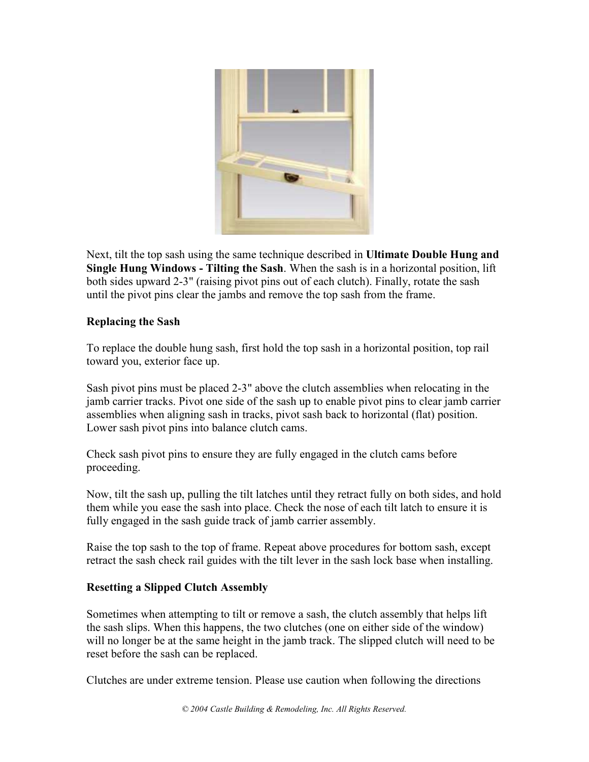

Next, tilt the top sash using the same technique described in Ultimate Double Hung and Single Hung Windows - Tilting the Sash. When the sash is in a horizontal position, lift both sides upward 2-3" (raising pivot pins out of each clutch). Finally, rotate the sash until the pivot pins clear the jambs and remove the top sash from the frame.

#### Replacing the Sash

To replace the double hung sash, first hold the top sash in a horizontal position, top rail toward you, exterior face up.

Sash pivot pins must be placed 2-3" above the clutch assemblies when relocating in the jamb carrier tracks. Pivot one side of the sash up to enable pivot pins to clear jamb carrier assemblies when aligning sash in tracks, pivot sash back to horizontal (flat) position. Lower sash pivot pins into balance clutch cams.

Check sash pivot pins to ensure they are fully engaged in the clutch cams before proceeding.

Now, tilt the sash up, pulling the tilt latches until they retract fully on both sides, and hold them while you ease the sash into place. Check the nose of each tilt latch to ensure it is fully engaged in the sash guide track of jamb carrier assembly.

Raise the top sash to the top of frame. Repeat above procedures for bottom sash, except retract the sash check rail guides with the tilt lever in the sash lock base when installing.

### Resetting a Slipped Clutch Assembly

Sometimes when attempting to tilt or remove a sash, the clutch assembly that helps lift the sash slips. When this happens, the two clutches (one on either side of the window) will no longer be at the same height in the jamb track. The slipped clutch will need to be reset before the sash can be replaced.

Clutches are under extreme tension. Please use caution when following the directions